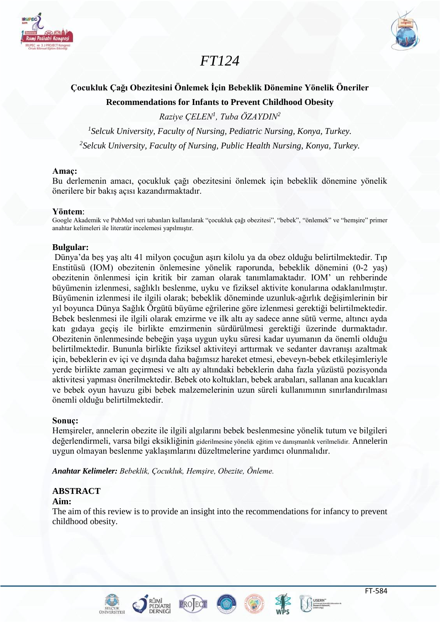



# *FT124*

# **Çocukluk Çağı Obezitesini Önlemek İçin Bebeklik Dönemine Yönelik Öneriler Recommendations for Infants to Prevent Childhood Obesity**

*Raziye ÇELEN<sup>1</sup> , Tuba ÖZAYDIN<sup>2</sup>*

*1 Selcuk University, Faculty of Nursing, Pediatric Nursing, Konya, Turkey. 2 Selcuk University, Faculty of Nursing, Public Health Nursing, Konya, Turkey.*

## **Amaç:**

Bu derlemenin amacı, çocukluk çağı obezitesini önlemek için bebeklik dönemine yönelik önerilere bir bakış açısı kazandırmaktadır.

#### **Yöntem**:

Google Akademik ve PubMed veri tabanları kullanılarak "çocukluk çağı obezitesi", "bebek", "önlemek" ve "hemşire" primer anahtar kelimeleri ile literatür incelemesi yapılmıştır.

## **Bulgular:**

Dünya'da beş yaş altı 41 milyon çocuğun aşırı kilolu ya da obez olduğu belirtilmektedir. Tıp Enstitüsü (IOM) obezitenin önlemesine yönelik raporunda, bebeklik dönemini (0-2 yaş) obezitenin önlenmesi için kritik bir zaman olarak tanımlamaktadır. IOM' un rehberinde büyümenin izlenmesi, sağlıklı beslenme, uyku ve fiziksel aktivite konularına odaklanılmıştır. Büyümenin izlenmesi ile ilgili olarak; bebeklik döneminde uzunluk-ağırlık değişimlerinin bir yıl boyunca Dünya Sağlık Örgütü büyüme eğrilerine göre izlenmesi gerektiği belirtilmektedir. Bebek beslenmesi ile ilgili olarak emzirme ve ilk altı ay sadece anne sütü verme, altıncı ayda katı gıdaya geçiş ile birlikte emzirmenin sürdürülmesi gerektiği üzerinde durmaktadır. Obezitenin önlenmesinde bebeğin yaşa uygun uyku süresi kadar uyumanın da önemli olduğu belirtilmektedir. Bununla birlikte fiziksel aktiviteyi arttırmak ve sedanter davranışı azaltmak için, bebeklerin ev içi ve dışında daha bağımsız hareket etmesi, ebeveyn-bebek etkileşimleriyle yerde birlikte zaman geçirmesi ve altı ay altındaki bebeklerin daha fazla yüzüstü pozisyonda aktivitesi yapması önerilmektedir. Bebek oto koltukları, bebek arabaları, sallanan ana kucakları ve bebek oyun havuzu gibi bebek malzemelerinin uzun süreli kullanımının sınırlandırılması önemli olduğu belirtilmektedir.

## **Sonuç:**

Hemşireler, annelerin obezite ile ilgili algılarını bebek beslenmesine yönelik tutum ve bilgileri değerlendirmeli, varsa bilgi eksikliğinin giderilmesine yönelik eğitim ve danışmanlık verilmelidir. Annelerin uygun olmayan beslenme yaklaşımlarını düzeltmelerine yardımcı olunmalıdır.

*Anahtar Kelimeler: Bebeklik, Çocukluk, Hemşire, Obezite, Önleme.*

# **ABSTRACT**

# **Aim:**

The aim of this review is to provide an insight into the recommendations for infancy to prevent childhood obesity.







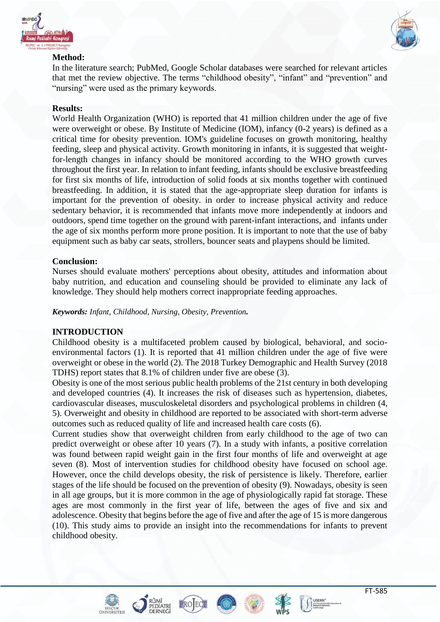



# **Method:**

In the literature search; PubMed, Google Scholar databases were searched for relevant articles that met the review objective. The terms "childhood obesity", "infant" and "prevention" and "nursing" were used as the primary keywords.

# **Results:**

World Health Organization (WHO) is reported that 41 million children under the age of five were overweight or obese. By Institute of Medicine (IOM), infancy (0-2 years) is defined as a critical time for obesity prevention. IOM's guideline focuses on growth monitoring, healthy feeding, sleep and physical activity. Growth monitoring in infants, it is suggested that weightfor-length changes in infancy should be monitored according to the WHO growth curves throughout the first year. In relation to infant feeding, infants should be exclusive breastfeeding for first six months of life, introduction of solid foods at six months together with continued breastfeeding. In addition, it is stated that the age-appropriate sleep duration for infants is important for the prevention of obesity. in order to increase physical activity and reduce sedentary behavior, it is recommended that infants move more independently at indoors and outdoors, spend time together on the ground with parent-infant interactions, and infants under the age of six months perform more prone position. It is important to note that the use of baby equipment such as baby car seats, strollers, bouncer seats and playpens should be limited.

## **Conclusion:**

Nurses should evaluate mothers' perceptions about obesity, attitudes and information about baby nutrition, and education and counseling should be provided to eliminate any lack of knowledge. They should help mothers correct inappropriate feeding approaches.

*Keywords: Infant, Childhood, Nursing, Obesity, Prevention.*

# **INTRODUCTION**

Childhood obesity is a multifaceted problem caused by biological, behavioral, and socioenvironmental factors (1). It is reported that 41 million children under the age of five were overweight or obese in the world (2). The 2018 Turkey Demographic and Health Survey (2018 TDHS) report states that 8.1% of children under five are obese (3).

Obesity is one of the most serious public health problems of the 21st century in both developing and developed countries (4). It increases the risk of diseases such as hypertension, diabetes, cardiovascular diseases, musculoskeletal disorders and psychological problems in children (4, 5). Overweight and obesity in childhood are reported to be associated with short-term adverse outcomes such as reduced quality of life and increased health care costs (6).

Current studies show that overweight children from early childhood to the age of two can predict overweight or obese after 10 years (7). In a study with infants, a positive correlation was found between rapid weight gain in the first four months of life and overweight at age seven (8). Most of intervention studies for childhood obesity have focused on school age. However, once the child develops obesity, the risk of persistence is likely. Therefore, earlier stages of the life should be focused on the prevention of obesity (9). Nowadays, obesity is seen in all age groups, but it is more common in the age of physiologically rapid fat storage. These ages are most commonly in the first year of life, between the ages of five and six and adolescence. Obesity that begins before the age of five and after the age of 15 is more dangerous (10). This study aims to provide an insight into the recommendations for infants to prevent childhood obesity.





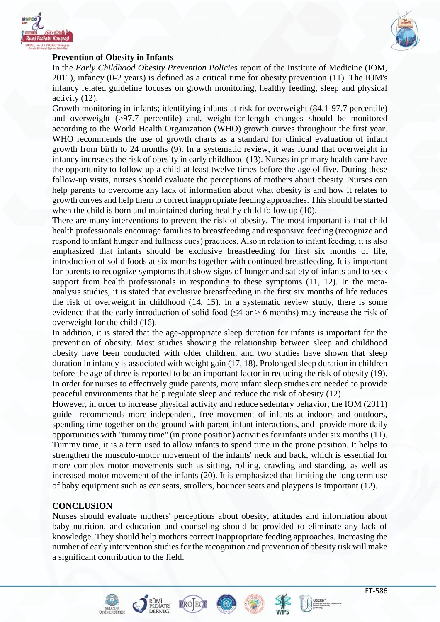



#### **Prevention of Obesity in Infants**

In the *Early Childhood Obesity Prevention Policies* report of the Institute of Medicine (IOM, 2011), infancy (0-2 years) is defined as a critical time for obesity prevention (11). The IOM's infancy related guideline focuses on growth monitoring, healthy feeding, sleep and physical activity (12).

Growth monitoring in infants; identifying infants at risk for overweight (84.1-97.7 percentile) and overweight (>97.7 percentile) and, weight-for-length changes should be monitored according to the World Health Organization (WHO) growth curves throughout the first year. WHO recommends the use of growth charts as a standard for clinical evaluation of infant growth from birth to 24 months (9). In a systematic review, it was found that overweight in infancy increases the risk of obesity in early childhood (13). Nurses in primary health care have the opportunity to follow-up a child at least twelve times before the age of five. During these follow-up visits, nurses should evaluate the perceptions of mothers about obesity. Nurses can help parents to overcome any lack of information about what obesity is and how it relates to growth curves and help them to correct inappropriate feeding approaches. This should be started when the child is born and maintained during healthy child follow up (10).

There are many interventions to prevent the risk of obesity. The most important is that child health professionals encourage families to breastfeeding and responsive feeding (recognize and respond to infant hunger and fullness cues) practices. Also in relation to infant feeding, ıt is also emphasized that infants should be exclusive breastfeeding for first six months of life, introduction of solid foods at six months together with continued breastfeeding. It is important for parents to recognize symptoms that show signs of hunger and satiety of infants and to seek support from health professionals in responding to these symptoms  $(11, 12)$ . In the metaanalysis studies, it is stated that exclusive breastfeeding in the first six months of life reduces the risk of overweight in childhood (14, 15). In a systematic review study, there is some evidence that the early introduction of solid food ( $\leq 4$  or > 6 months) may increase the risk of overweight for the child (16).

In addition, it is stated that the age-appropriate sleep duration for infants is important for the prevention of obesity. Most studies showing the relationship between sleep and childhood obesity have been conducted with older children, and two studies have shown that sleep duration in infancy is associated with weight gain (17, 18). Prolonged sleep duration in children before the age of three is reported to be an important factor in reducing the risk of obesity (19). In order for nurses to effectively guide parents, more infant sleep studies are needed to provide peaceful environments that help regulate sleep and reduce the risk of obesity (12).

However, in order to increase physical activity and reduce sedentary behavior, the IOM (2011) guide recommends more independent, free movement of infants at indoors and outdoors, spending time together on the ground with parent-infant interactions, and provide more daily opportunities with "tummy time" (in prone position) activities for infants under six months (11). Tummy time, it is a term used to allow infants to spend time in the prone position. It helps to strengthen the musculo-motor movement of the infants' neck and back, which is essential for more complex motor movements such as sitting, rolling, crawling and standing, as well as increased motor movement of the infants (20). It is emphasized that limiting the long term use of baby equipment such as car seats, strollers, bouncer seats and playpens is important (12).

#### **CONCLUSION**

Nurses should evaluate mothers' perceptions about obesity, attitudes and information about baby nutrition, and education and counseling should be provided to eliminate any lack of knowledge. They should help mothers correct inappropriate feeding approaches. Increasing the number of early intervention studies for the recognition and prevention of obesity risk will make a significant contribution to the field.